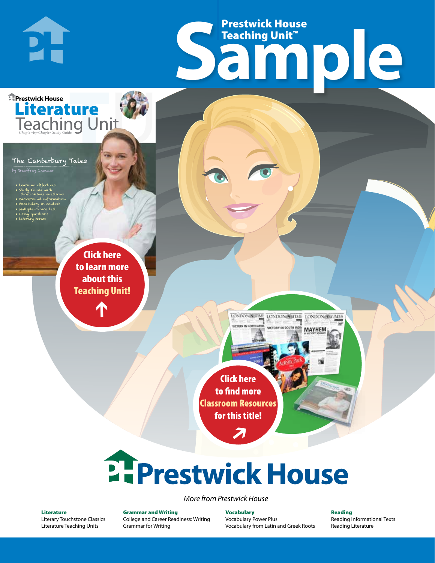# Frestwick House<br>
Sample Prestwick House Teaching Unit™

LONDON-SCITME LONDON/SCITME LONDON/SCITMES victory in soul

**MAYHEM** 



### The Canterbury Tales

**PH** 

by Geoffrey Chauce

- Learning objectives
- Study Guide with short-answer questions
- Background information

CHARLES DICKENS

- Vocabulary in context • Multiple-choice test
- Essay questions
- **A Tale of Two Cities** • Literary terms

r e o r d e r n o . x x x x x x Click here to learn more about this [Teaching Unit!](https://www.prestwickhouse.com/pdf/id-200755/Canterbury_Tales_The_-_Downloadable_Teaching_Unit)

 $\mathbf{T}$ 

1

Click here to find more [Classroom Resources](http://teaching-english.prestwickhouse.com/search#w=canterbury%20tales)  for this title!

 $\overline{\boldsymbol{\lambda}}$ 

# 2. Prestwick House

#### *More from Prestwick House*

#### Literature

[Literary Touchstone Classics](https://www.prestwickhouse.com/literary-touchstone-classics) [Literature Teaching Units](https://www.prestwickhouse.com/teaching-units)

Grammar and Writing [College and Career Readiness: Writing](https://www.prestwickhouse.com/college-and-career-readiness-writing) [Grammar for Writing](https://www.prestwickhouse.com/book/id-302639/Grammar_for_Writing_-_30_Books_and_Teachers_Edition)

**Vocabulary** [Vocabulary Power Plus](https://www.prestwickhouse.com/vocabulary-power-plus-for-college-and-career-readiness) [Vocabulary from Latin and Greek Roots](https://www.prestwickhouse.com/vocabulary-from-latin-and-greek-roots) Reading

[Reading Informational Texts](https://www.prestwickhouse.com/reading-informational-texts) [Reading Literature](https://www.prestwickhouse.com/reading-literature)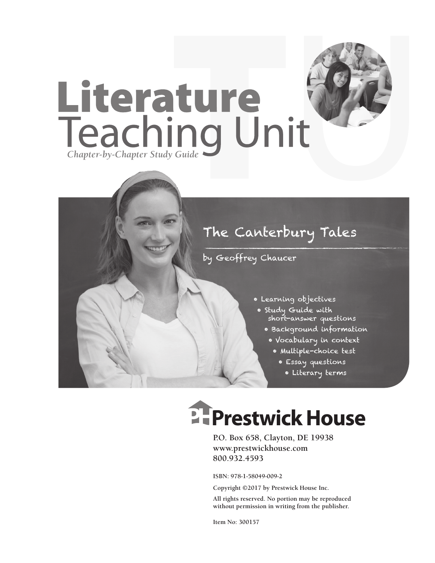

### The Canterbury Tales

### by Geoffrey Chaucer

- Learning objectives
- Study Guide with short-answer questions
	- Background information
		- Vocabulary in context
			- Multiple-choice test
				- Essay questions
					- Literary terms

## **Ellenger Prestwick House**

**P.O. Box 658, Clayton, DE 19938 www.prestwickhouse.com 800.932.4593**

**ISBN: 978-1-58049-009-2**

**Copyright ©2017 by Prestwick House Inc.**

**All rights reserved. No portion may be reproduced without permission in writing from the publisher.**

**Item No: 300157**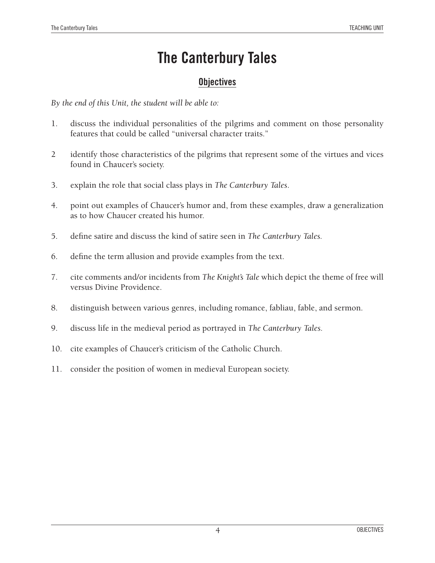### **The Canterbury Tales**

### **Objectives**

*By the end of this Unit, the student will be able to:*

- 1. discuss the individual personalities of the pilgrims and comment on those personality features that could be called "universal character traits."
- 2 identify those characteristics of the pilgrims that represent some of the virtues and vices found in Chaucer's society.
- 3. explain the role that social class plays in *The Canterbury Tales*.
- 4. point out examples of Chaucer's humor and, from these examples, draw a generalization as to how Chaucer created his humor.
- 5. define satire and discuss the kind of satire seen in *The Canterbury Tales.*
- 6. define the term allusion and provide examples from the text.
- 7. cite comments and/or incidents from *The Knight's Tale* which depict the theme of free will versus Divine Providence.
- 8. distinguish between various genres, including romance, fabliau, fable, and sermon.
- 9. discuss life in the medieval period as portrayed in *The Canterbury Tales.*
- 10. cite examples of Chaucer's criticism of the Catholic Church.
- 11. consider the position of women in medieval European society.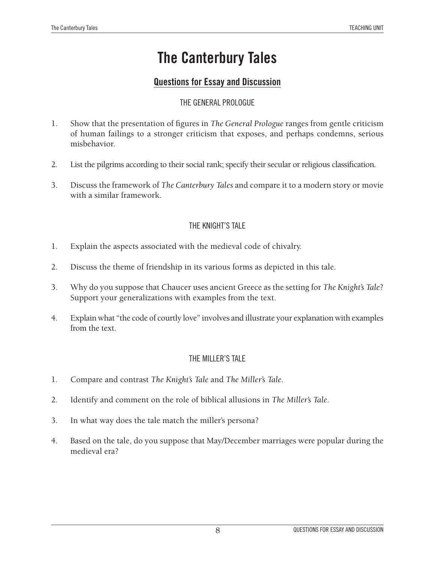### **The Canterbury Tales**

### **Questions for Essay and Discussion**

### The General Prologue

- 1. Show that the presentation of figures in *The General Prologue* ranges from gentle criticism of human failings to a stronger criticism that exposes, and perhaps condemns, serious misbehavior.
- 2. List the pilgrims according to their social rank; specify their secular or religious classification.
- 3. Discuss the framework of *The Canterbury Tales* and compare it to a modern story or movie with a similar framework.

### The Knight's Tale

- 1. Explain the aspects associated with the medieval code of chivalry.
- 2. Discuss the theme of friendship in its various forms as depicted in this tale.
- 3. Why do you suppose that Chaucer uses ancient Greece as the setting for *The Knight's Tale*? Support your generalizations with examples from the text.
- 4. Explain what "the code of courtly love" involves and illustrate your explanation with examples from the text.

### THE MILLER'S TALE

- 1. Compare and contrast *The Knight's Tale* and *The Miller's Tale*.
- 2. Identify and comment on the role of biblical allusions in *The Miller's Tale*.
- 3. In what way does the tale match the miller's persona?
- 4. Based on the tale, do you suppose that May/December marriages were popular during the medieval era?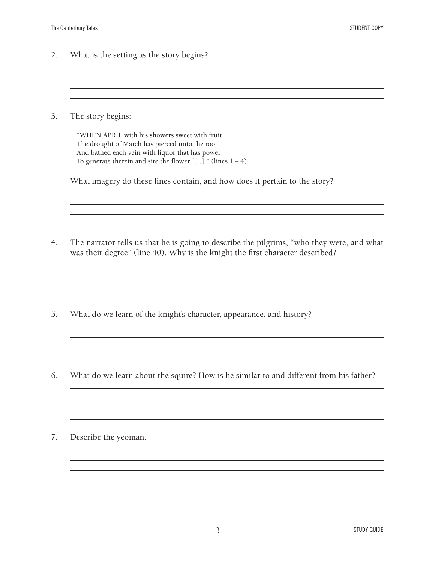2. What is the setting as the story begins? <u> 1980 - Andrea Station, amerikansk politik (\* 1908)</u>

3. The story begins:

"WHEN APRIL with his showers sweet with fruit The drought of March has pierced unto the root And bathed each vein with liquor that has power To generate therein and sire the flower  $[...]$ ." (lines  $1 - 4$ )

What imagery do these lines contain, and how does it pertain to the story?

- 4. The narrator tells us that he is going to describe the pilgrims, "who they were, and what was their degree" (line 40). Why is the knight the first character described?
- 5. What do we learn of the knight's character, appearance, and history?
- 6. What do we learn about the squire? How is he similar to and different from his father?

<u> 1989 - Johann Stoff, amerikansk politiker (d. 1989)</u>

<u> 1980 - Johann Barbara, martxa alemaniar arg</u>

7. Describe the yeoman.

and the control of the control of the control of the control of the control of the control of the control of the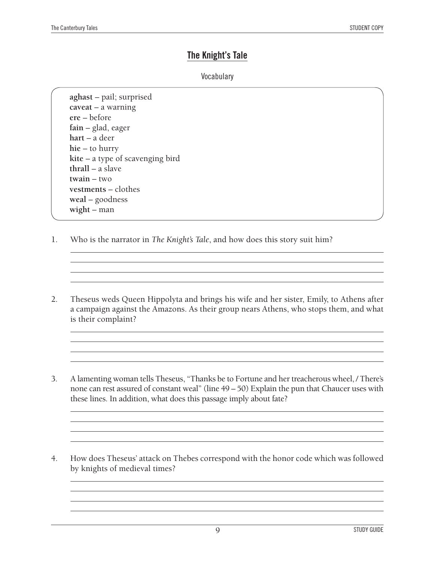### **The Knight's Tale**

### **Vocabulary**

**aghast** – pail; surprised **caveat** – a warning **ere** – before **fain** – glad, eager **hart** – a deer **hie** – to hurry **kite** – a type of scavenging bird **thrall** – a slave **twain** – two **vestments** – clothes **weal** – goodness **wight** – man

- 1. Who is the narrator in *The Knight's Tale*, and how does this story suit him?
- 2. Theseus weds Queen Hippolyta and brings his wife and her sister, Emily, to Athens after a campaign against the Amazons. As their group nears Athens, who stops them, and what is their complaint?

and the control of the control of the control of the control of the control of the control of the control of the

- 3. A lamenting woman tells Theseus, "Thanks be to Fortune and her treacherous wheel, / There's none can rest assured of constant weal" (line 49 – 50) Explain the pun that Chaucer uses with these lines. In addition, what does this passage imply about fate?
- 4. How does Theseus' attack on Thebes correspond with the honor code which was followed by knights of medieval times?